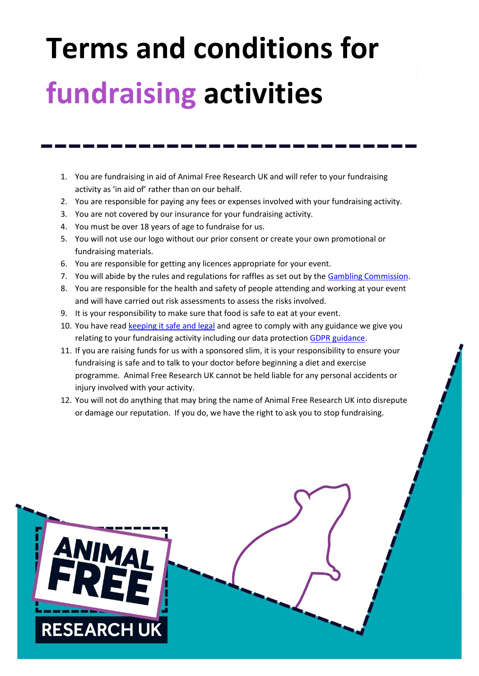## **Terms and conditions for fundraising activities**

- 1. You are fundraising in aid of Animal Free Research UK and will refer to your fundraising activity as 'in aid of' rather than on our behalf.
- 2. You are responsible for paying any fees or expenses involved with your fundraising activity.
- 3. You are not covered by our insurance for your fundraising activity.
- 4. You must be over 18 years of age to fundraise for us.
- 5. You will not use our logo without our prior consent or create your own promotional or fundraising materials.
- 6. You are responsible for getting any licences appropriate for your event.
- 7. You will abide by the rules and regulations for raffles as set out by th[e Gambling Commission.](http://www.gamblingcommission.gov.uk/home.aspx)
- 8. You are responsible for the health and safety of people attending and working at your event and will have carried out risk assessments to assess the risks involved.
- 9. It is your responsibility to make sure that food is safe to eat at your event.
- 10. You have rea[d keeping it safe and legal](https://www.animalfreeresearchuk.org/keeping-it-safe-and-legal/) and agree to comply with any guidance we give you relating to your fundraising activity including our data protection [GDPR guidance.](https://www.animalfreeresearchuk.org/wp-content/uploads/2018/05/GDPR-Guide.pdf)
- 11. If you are raising funds for us with a sponsored slim, it is your responsibility to ensure your fundraising is safe and to talk to your doctor before beginning a diet and exercise programme. Animal Free Research UK cannot be held liable for any personal accidents or injury involved with your activity.
- 12. You will not do anything that may bring the name of Animal Free Research UK into disrepute or damage our reputation. If you do, we have the right to ask you to stop fundraising.